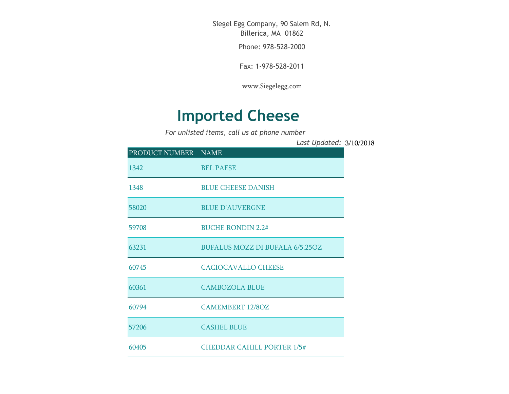Siegel Egg Company, 90 Salem Rd, N. Billerica, MA 01862

Phone: 978-528-2000

Fax: 1-978-528-2011

[www.Siegelegg.com](http://www.siegelegg.com/)

## **Imported Cheese**

*For unlisted items, call us at phone number*

3/10/2018 *Last Updated:*

| PRODUCT NUMBER NAME |                                        |
|---------------------|----------------------------------------|
| 1342                | <b>BEL PAESE</b>                       |
| 1348                | <b>BLUE CHEESE DANISH</b>              |
| 58020               | <b>BLUE D'AUVERGNE</b>                 |
| 59708               | <b>BUCHE RONDIN 2.2#</b>               |
| 63231               | <b>BUFALUS MOZZ DI BUFALA 6/5.25OZ</b> |
| 60745               | <b>CACIOCAVALLO CHEESE</b>             |
| 60361               | <b>CAMBOZOLA BLUE</b>                  |
| 60794               | <b>CAMEMBERT 12/8OZ</b>                |
| 57206               | <b>CASHEL BLUE</b>                     |
| 60405               | <b>CHEDDAR CAHILL PORTER 1/5#</b>      |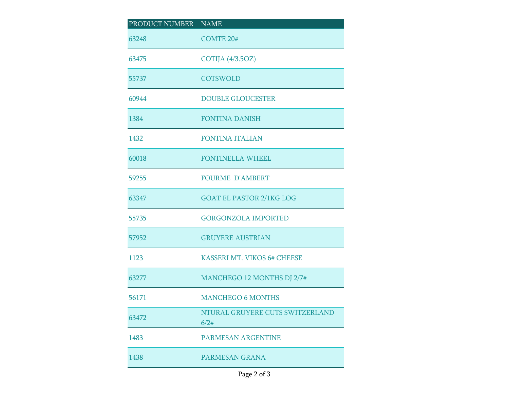| PRODUCT NUMBER NAME |                                         |
|---------------------|-----------------------------------------|
| 63248               | <b>COMTE 20#</b>                        |
| 63475               | COTIJA (4/3.5OZ)                        |
| 55737               | <b>COTSWOLD</b>                         |
| 60944               | <b>DOUBLE GLOUCESTER</b>                |
| 1384                | <b>FONTINA DANISH</b>                   |
| 1432                | <b>FONTINA ITALIAN</b>                  |
| 60018               | <b>FONTINELLA WHEEL</b>                 |
| 59255               | <b>FOURME D'AMBERT</b>                  |
| 63347               | <b>GOAT EL PASTOR 2/1KG LOG</b>         |
| 55735               | <b>GORGONZOLA IMPORTED</b>              |
| 57952               | <b>GRUYERE AUSTRIAN</b>                 |
| 1123                | KASSERI MT. VIKOS 6# CHEESE             |
| 63277               | MANCHEGO 12 MONTHS DJ 2/7#              |
| 56171               | <b>MANCHEGO 6 MONTHS</b>                |
| 63472               | NTURAL GRUYERE CUTS SWITZERLAND<br>6/2# |
| 1483                | <b>PARMESAN ARGENTINE</b>               |
| 1438                | PARMESAN GRANA                          |